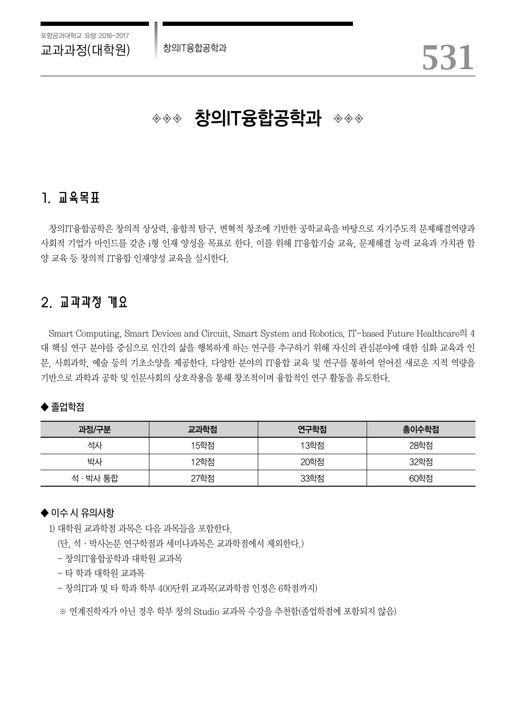

# ◈◈◈ 창의IT융합공학과 ◈◈◈

## 1. 교육목표

창의IT융합공학은 창의적 상상력, 융합적 탐구, 변혁적 창조에 기반한 공학교육을 바탕으로 자기주도적 문제해결역량과 사회적 기업가 마인드를 갖춘 i형 인재 양성을 목표로 한다. 이를 위해 IT융합기술 교육, 문제해결 능력 교육과 가치관 함 양 교육 등 창의적 IT융합 인재양성 교육을 실시한다.

### 2. 교과과정 개요

Smart Computing, Smart Devices and Circuit, Smart System and Robotics, IT-based Future Healthcare의 4 대 핵심 연구 분야를 중심으로 인간의 삶을 행복하게 하는 연구를 추구하기 위해 자신의 관심분야에 대한 심화 교육과 인 문, 사회과학, 예술 등의 기초소양을 제공한다. 다양한 분야의 IT융합 교육 및 연구를 통하여 얻어진 새로운 지적 역량을 기반으로 과학과 공학 및 인문사회의 상호작용을 통해 창조적이며 융합적인 연구 활동을 유도한다.

#### $\blacklozenge$  졸업학점

| 과정/구분     | 교과학점 | 연구학점 | 총이수학점 |  |  |  |  |  |  |  |
|-----------|------|------|-------|--|--|--|--|--|--|--|
| 석사        | 15학점 | 13학점 | 28학점  |  |  |  |  |  |  |  |
| 박사        | 12학점 | 20학점 | 32학점  |  |  |  |  |  |  |  |
| 석 · 박사 통합 | 27학점 | 33학점 | 60학점  |  |  |  |  |  |  |  |

#### ◆ 이수 시 유의사항

1) 대학원 교과학점 과목은 다음 과목들을 포함한다.

(단, 석·박사논문 연구학점과 세미나과목은 교과학점에서 제외한다.)

- 창의IT융합공학과 대학원 교과목

- 타 학과 대학원 교과목

- 창의IT과 및 타 학과 학부 400단위 교과목(교과학점 인정은 6학점까지)

※ 연계진학자가 아닌 경우 학부 창의 Studio 교과목 수강을 추천함(졸업학점에 포함되지 않음)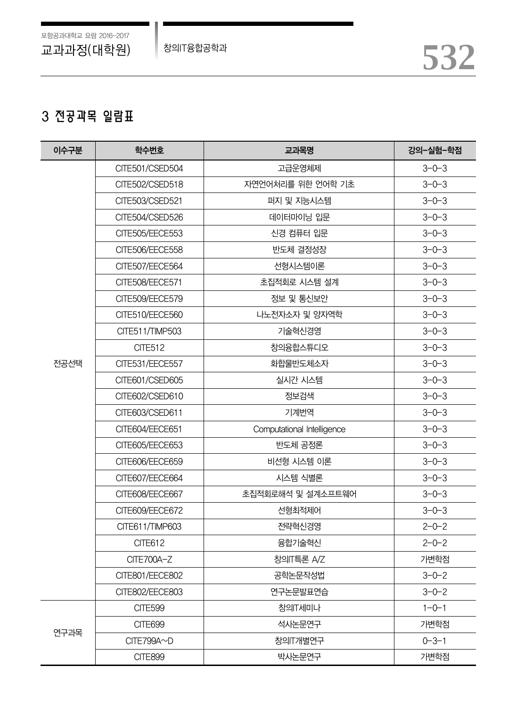## 3 전공과목 일람표

| 이수구분 | 학수번호            | 교과목명                       | 강의-실험-학점    |  |  |  |  |  |
|------|-----------------|----------------------------|-------------|--|--|--|--|--|
|      | CITE501/CSED504 | 고급운영체제                     | $3 - 0 - 3$ |  |  |  |  |  |
|      | CITE502/CSED518 | 자연언어처리를 위한 언어학 기초          | $3 - 0 - 3$ |  |  |  |  |  |
|      | CITE503/CSED521 | 퍼지 및 지능시스템                 | $3 - 0 - 3$ |  |  |  |  |  |
|      | CITE504/CSED526 | 데이터마이닝 입문                  | $3 - 0 - 3$ |  |  |  |  |  |
|      | CITE505/EECE553 | 신경 컴퓨터 입문                  | $3 - 0 - 3$ |  |  |  |  |  |
|      | CITE506/EECE558 | 반도체 결정성장                   | $3 - 0 - 3$ |  |  |  |  |  |
|      | CITE507/EECE564 | 선형시스템이론                    | $3 - 0 - 3$ |  |  |  |  |  |
|      | CITE508/EECE571 | 초집적회로 시스템 설계               | $3 - 0 - 3$ |  |  |  |  |  |
|      | CITE509/EECE579 | 정보 및 통신보안                  | $3 - 0 - 3$ |  |  |  |  |  |
|      | CITE510/EECE560 | 나노전자소자 및 양자역학              |             |  |  |  |  |  |
|      | CITE511/TIMP503 | 기술혁신경영                     |             |  |  |  |  |  |
|      | <b>CITE512</b>  | 창의융합스튜디오                   |             |  |  |  |  |  |
| 전공선택 | CITE531/EECE557 | 화합물반도체소자                   | $3 - 0 - 3$ |  |  |  |  |  |
|      | CITE601/CSED605 | 실시간 시스템                    | $3 - 0 - 3$ |  |  |  |  |  |
|      | CITE602/CSED610 | 정보검색                       | $3 - 0 - 3$ |  |  |  |  |  |
|      | CITE603/CSED611 | 기계번역                       | $3 - 0 - 3$ |  |  |  |  |  |
|      | CITE604/EECE651 | Computational Intelligence | $3 - 0 - 3$ |  |  |  |  |  |
|      | CITE605/EECE653 | 반도체 공정론                    | $3 - 0 - 3$ |  |  |  |  |  |
|      | CITE606/EECE659 | 비선형 시스템 이론                 | $3 - 0 - 3$ |  |  |  |  |  |
|      | CITE607/EECE664 | 시스템 식별론                    | $3 - 0 - 3$ |  |  |  |  |  |
|      | CITE608/EECE667 | 초집적회로해석 및 설계소프트웨어          | $3 - 0 - 3$ |  |  |  |  |  |
|      | CITE609/EECE672 | 선형최적제어                     | $3 - 0 - 3$ |  |  |  |  |  |
|      | CITE611/TIMP603 | 전략혁신경영                     | $2 - 0 - 2$ |  |  |  |  |  |
|      | CITE612         | 융합기술혁신                     | $2 - 0 - 2$ |  |  |  |  |  |
|      | CITE700A-Z      | 창의IT특론 A/Z                 | 가변학점        |  |  |  |  |  |
|      | CITE801/EECE802 | 공학논문작성법                    | $3 - 0 - 2$ |  |  |  |  |  |
|      | CITE802/EECE803 | 연구논문발표연습                   | $3 - 0 - 2$ |  |  |  |  |  |
|      | <b>CITE599</b>  | 창의T세미나                     | $1 - 0 - 1$ |  |  |  |  |  |
|      | <b>CITE699</b>  | 석사논문연구                     | 가변학점        |  |  |  |  |  |
| 연구과목 | CITE799A~D      | 창의IT개별연구                   | $0 - 3 - 1$ |  |  |  |  |  |
|      | <b>CITE899</b>  | 박사논문연구                     | 가변학점        |  |  |  |  |  |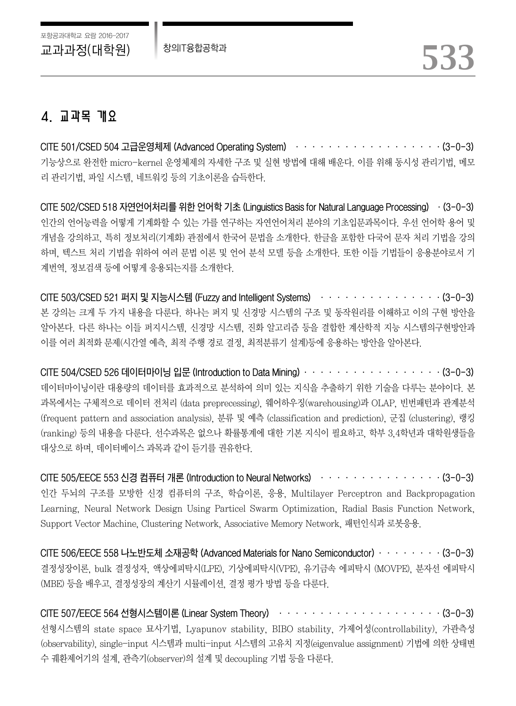## 4. 교과목 개요

CITE 501/CSED 504 고급운영체제 (Advanced Operating System) ··················(3-0-3) 기능상으로 완전한 micro-kernel 운영체제의 자세한 구조 및 실현 방법에 대해 배운다. 이를 위해 동시성 관리기법, 메모 리 관리기법, 파일 시스템, 네트워킹 등의 기초이론을 습득한다.

CITE 502/CSED 518 자연언어처리를 위한 언어학 기초 (Linguistics Basis for Natural Language Processing) ·(3-0-3) 인간의 언어능력을 어떻게 기계화할 수 있는 가를 연구하는 자연언어처리 분야의 기초입문과목이다. 우선 언어학 용어 및 개념을 강의하고, 특히 정보처리(기계화) 관점에서 한국어 문법을 소개한다. 한글을 포함한 다국어 문자 처리 기법을 강의 하며, 텍스트 처리 기법을 위하여 여러 문법 이론 및 언어 분석 모델 등을 소개한다. 또한 이들 기법들이 응용분야로서 기 계번역, 정보검색 등에 어떻게 응용되는지를 소개한다.

CITE 503/CSED 521 퍼지 및 지능시스템 (Fuzzy and Intelligent Systems) ··················· (3-0-3) 본 강의는 크게 두 가지 내용을 다룬다. 하나는 퍼지 및 신경망 시스템의 구조 및 동작원리를 이해하고 이의 구현 방안을 알아본다. 다른 하나는 이들 퍼지시스템, 신경망 시스템, 진화 알고리즘 등을 결합한 계산학적 지능 시스템의구현방안과 이를 여러 최적화 문제(시간열 예측, 최적 주행 경로 결정, 최적분류기 설계)등에 응용하는 방안을 알아본다.

CITE 504/CSED 526 데이터마이닝 입문 (Introduction to Data Mining)·················(3-0-3) 데이터마이닝이란 대용량의 데이터를 효과적으로 분석하여 의미 있는 지식을 추출하기 위한 기술을 다루는 분야이다. 본 과목에서는 구체적으로 데이터 전처리 (data preprecessing), 웨어하우징(warehousing)과 OLAP, 빈번패턴과 관계분석 (frequent pattern and association analysis), 분류 및 예측 (classification and prediction), 군집 (clustering), 랭킹 (ranking) 등의 내용을 다룬다. 선수과목은 없으나 확률통계에 대한 기본 지식이 필요하고, 학부 3,4학년과 대학원생들을 대상으로 하며, 데이터베이스 과목과 같이 듣기를 권유한다.

CITE 505/EECE 553 신경 컴퓨터 개론 (Introduction to Neural Networks) ···············(3-0-3) 인간 두뇌의 구조를 모방한 신경 컴퓨터의 구조, 학습이론, 응용, Multilayer Perceptron and Backpropagation Learning, Neural Network Design Using Particel Swarm Optimization, Radial Basis Function Network, Support Vector Machine, Clustering Network, Associative Memory Network, 패턴인식과 로봇응용.

CITE 506/EECE 558 나노반도체 소재공학 (Advanced Materials for Nano Semiconductor)········(3-0-3) 결정성장이론, bulk 결정성자, 액상에피탁시(LPE), 기상에피탁시(VPE), 유기금속 에피탁시 (MOVPE), 분자선 에피탁시 (MBE) 등을 배우고, 결정성장의 계산기 시뮬레이션, 결정 평가 방법 등을 다룬다.

CITE 507/EECE 564 선형시스템이론 (Linear System Theory) ···························(3-0-3) 선형시스템의 state space 묘사기법, Lyapunov stability, BIBO stability, 가제어성(controllability), 가관측성 (observability), single-input 시스템과 multi-input 시스템의 고유치 지정(eigenvalue assignment) 기법에 의한 상태변 수 궤환제어기의 설계, 관측기(observer)의 설계 및 decoupling 기법 등을 다룬다.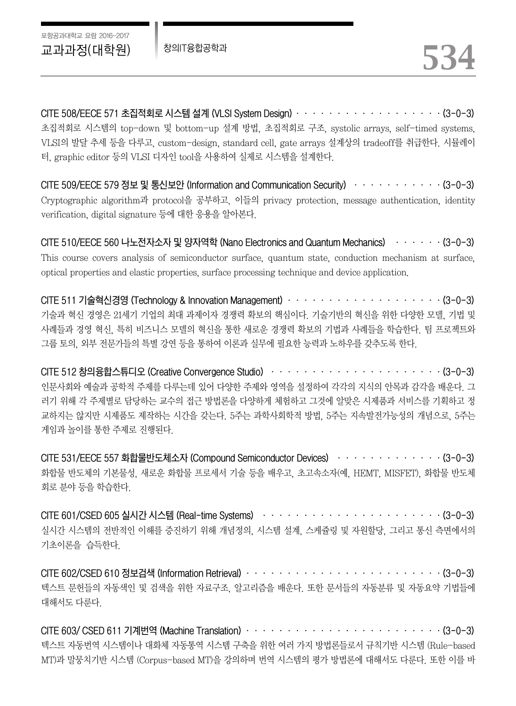CITE 508/EECE 571 초집적회로 시스템 설계 (VLSI System Design)··················(3-0-3) 초집적회로 시스템의 top-down 및 bottom-up 설계 방법, 초집적회로 구조, systolic arrays, self-timed systems, VLSI의 발달 추세 등을 다루고, custom-design, standard cell, gate arrays 설계상의 tradeoff를 취급한다. 시뮬레이 터, graphic editor 등의 VLSI 디자인 tool을 사용하여 실제로 시스템을 설계한다.

CITE 509/EECE 579 정보 및 통신보안 (Information and Communication Security) ···········(3-0-3) Cryptographic algorithm과 protocol을 공부하고, 이들의 privacy protection, message authentication, identity verification, digital signature 등에 대한 응용을 알아본다.

CITE 510/EECE 560 나노전자소자 및 양자역학 (Nano Electronics and Quantum Mechanics) ······(3-0-3) This course covers analysis of semiconductor surface, quantum state, conduction mechanism at surface, optical properties and elastic properties, surface processing technique and device application.

CITE 511 기술혁신경영 (Technology & Innovation Management) ··························· (3-0-3) 기술과 혁신 경영은 21세기 기업의 최대 과제이자 경쟁력 확보의 핵심이다. 기술기반의 혁신을 위한 다양한 모델, 기법 및 사례들과 경영 혁신, 특히 비즈니스 모델의 혁신을 통한 새로운 경쟁력 확보의 기법과 사례들을 학습한다. 팀 프로젝트와 그룹 토의, 외부 전문가들의 특별 강연 등을 통하여 이론과 실무에 필요한 능력과 노하우를 갖추도록 한다.

CITE 512 창의융합스튜디오 (Creative Convergence Studio) ······························(3-0-3) 인문사회와 예술과 공학적 주제를 다루는데 있어 다양한 주제와 영역을 설정하여 각각의 지식의 안목과 감각을 배운다. 그 러기 위해 각 주제별로 담당하는 교수의 접근 방법론을 다양하게 체험하고 그것에 알맞은 시제품과 서비스를 기획하고 정 교하지는 않지만 시제품도 제작하는 시간을 갖는다. 5주는 과학사회학적 방법, 5주는 지속발전가능성의 개념으로, 5주는 게임과 놀이를 통한 주제로 진행된다.

CITE 531/EECE 557 화합물반도체소자 (Compound Semiconductor Devices) ·············(3-0-3) 화합물 반도체의 기본물성, 새로운 화합물 프로세서 기술 등을 배우고, 초고속소자(예, HEMT, MISFET), 화합물 반도체 회로 분야 등을 학습한다.

CITE 601/CSED 605 실시간 시스템 (Real-time Systems) ······························(3-0-3) 실시간 시스템의 전반적인 이해를 증진하기 위해 개념정의, 시스템 설계, 스케쥴링 및 자원할당, 그리고 통신 측면에서의 기초이론을 습득한다.

CITE 602/CSED 610 정보검색 (Information Retrieval) ································· (3-0-3) 텍스트 문헌들의 자동색인 및 검색을 위한 자료구조, 알고리즘을 배운다. 또한 문서들의 자동분류 및 자동요약 기법들에 대해서도 다룬다.

CITE 603/ CSED 611 기계번역 (Machine Translation) ·································· (3-0-3) 텍스트 자동번역 시스템이나 대화체 자동통역 시스템 구축을 위한 여러 가지 방법론들로서 규칙기반 시스템 (Rule-based MT)과 말뭉치기반 시스템 (Corpus-based MT)을 강의하며 번역 시스템의 평가 방법론에 대해서도 다룬다. 또한 이를 바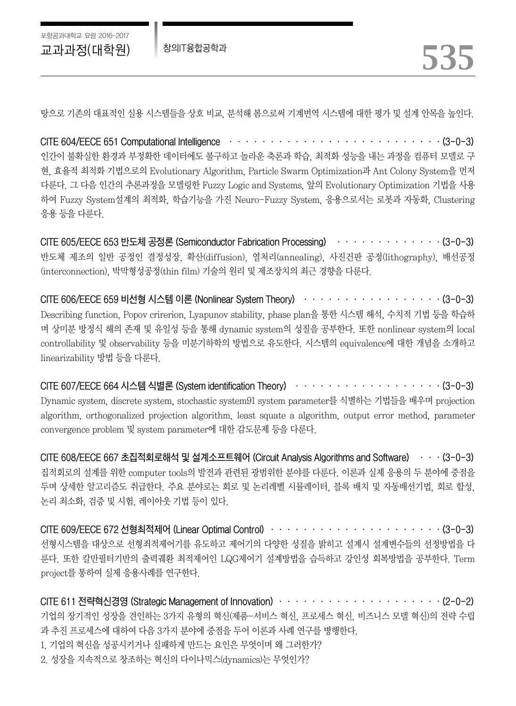탕으로 기존의 대표적인 실용 시스템들을 상호 비교, 분석해 봄으로써 기계번역 시스템에 대한 평가 및 설계 안목을 높인다.

CITE 604/EECE 651 Computational Intelligence  $\cdots \cdots \cdots \cdots \cdots \cdots \cdots \cdots \cdots \cdots \cdots \cdots \cdots$ 인간이 불확실한 환경과 부정확한 데이터에도 불구하고 놀라운 축론과 학습, 최적화 성능을 내는 과정을 컴퓨터 모델로 구 현, 효율적 최적화 기법으로의 Evolutionary Algorithm, Particle Swarm Optimization과 Ant Colony System을 먼저 다룬다. 그 다음 인간의 추론과정을 모델링한 Fuzzy Logic and Systems, 앞의 Evolutionary Optimization 기법을 사용 하여 Fuzzy System설계의 최적화, 학습기능을 가진 Neuro-Fuzzy System, 응용으로서는 로봇과 자동화, Clustering 응용 등을 다룬다.

CITE 605/EECE 653 반도체 공정론 (Semiconductor Fabrication Processing) ·············(3-0-3) 반도체 제조의 일반 공정인 결정성장, 확산(diffusion), 열처리(annealing), 사진건판 공정(lithography), 배선공정 (interconnection), 박막형성공정(thin film) 기술의 원리 및 제조장치의 최근 경향을 다룬다.

CITE 606/EECE 659 비선형 시스템 이론 (Nonlinear System Theory) ·······················(3-0-3) Describing function, Popov crirerion, Lyapunov stability, phase plan을 통한 시스템 해석, 수치적 기법 등을 학습하 며 상미분 방정식 해의 존재 및 유일성 등을 통해 dynamic system의 성질을 공부한다. 또한 nonlinear system의 local controllability 및 observability 등을 미분기하학의 방법으로 유도한다. 시스템의 equivalence에 대한 개념을 소개하고 linearizability 방법 등을 다룬다.

CITE 607/EECE 664 시스템 식별론 (System identification Theory) ······················· (3-0-3) Dynamic system, discrete system, stochastic system91 system parameter를 식별하는 기법들을 배우며 projection algorithm, orthogonalized projection algorithm, least squate a algorithm, output error method, parameter convergence problem 및 system parameter에 대한 감도문제 등을 다룬다.

CITE 608/EECE 667 초집적회로해석 및 설계소프트웨어 (Circuit Analysis Algorithms and Software) ···(3-0-3) 집적회로의 설계를 위한 computer tools의 발전과 관련된 광범위한 분야를 다룬다. 이론과 실제 응용의 두 분야에 중점을 두며 상세한 알고리즘도 취급한다. 주요 분야로는 회로 및 논리레벨 시뮬레이터, 블록 배치 및 자동배선기법, 회로 합성, 논리 최소화, 검증 및 시험, 레이아웃 기법 등이 있다.

CITE 609/EECE 672 선형최적제어 (Linear Optimal Control) ·····················(3-0-3) 선형시스템을 대상으로 선형죄적제어기를 유도하고 제어기의 다양한 성질을 밝히고 설계시 설계변수들의 선정방법을 다 룬다. 또한 칼만필터기반의 출력궤환 최적제어인 LQG제어기 설계방법을 습득하고 강인성 회복방법을 공부한다. Term project를 통하여 실제 응용사례를 연구한다.

CITE 611 전략혁신경영 (Strategic Management of Innovation) ··························· (2-0-2) 기업의 장기적인 성장을 견인하는 3가지 유형의 혁신(제품-서비스 혁신, 프로세스 혁신, 비즈니스 모델 혁신)의 전략 수립 과 추진 프로세스에 대하여 다음 3가지 분야에 중점을 두어 이론과 사례 연구를 병행한다. 1. 기업의 혁신을 성공시키거나 실패하게 만드는 요인은 무엇이며 왜 그러한가? 2. 성장을 지속적으로 창조하는 혁신의 다이나믹스(dynamics)는 무엇인가?